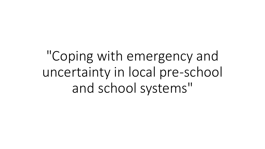"Coping with emergency and uncertainty in local pre-school and school systems"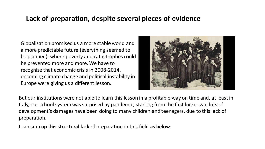## **Lack of preparation, despite several pieces of evidence**

Globalization promised us a more stable world and a more predictable future (everything seemed to be planned), where poverty and catastrophes could be prevented more and more. We have to recognize that economic crisis in 2008-2014, oncoming climate change and political instability in Europe were giving us a different lesson.



But our institutions were not able to learn this lesson in a profitable way on time and, at least in Italy, our school system was surprised by pandemic; starting from the first lockdown, lots of development's damages have been doing to many children and teenagers, due to this lack of preparation.

I can sum up this structural lack of preparation in this field as below: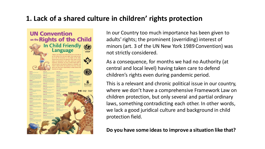# **1. Lack of a shared culture in children' rights protection**

**UN Convention** on the Rights of the Child In Child Friendly Co **Language Sec OULEN** 

In our Country too much importance has been given to adults' rights; the prominent (overriding) interest of minors (art. 3 of the UN New York 1989 Convention) was not strictly considered.

As a consequence, for months we had no Authority (at central and local level) having taken care to defend children's rights even during pandemic period.

This is a relevant and chronic political issue in our country, where we don't have a comprehensive Framework Law on children protection, but only several and partial ordinary laws, something contradicting each other. In other words, we lack a good juridical culture and background in child protection field.

**Do you have some ideas to improve a situation like that?**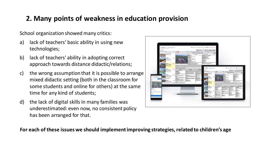# **2. Many points of weakness in education provision**

School organization showed many critics:

- a) lack of teachers' basic ability in using new technologies;
- b) lack of teachers' ability in adopting correct approach towards distance didactic/relations;
- c) the wrong assumption that it is possible to arrange mixed didactic setting (both in the classroom for some students and online for others) at the same time for any kind of students;
- d) the lack of digital skills in many families was underestimated: even now, no consistent policy has been arranged for that.



**For each of these issues we should implement improving strategies, related to children's age**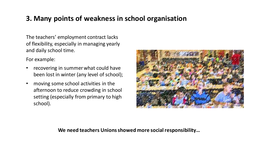# **3. Many points of weakness in school organisation**

The teachers' employment contract lacks of flexibility, especially in managing yearly and daily school time.

For example:

- recovering in summer what could have been lost in winter (any level of school);
- moving some school activities in the afternoon to reduce crowding in school setting (especially from primary to high school).



#### **We need teachers Unions showed more social responsibility…**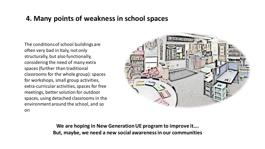### **4. Many points of weakness in school spaces**

The conditions of school buildings are often very bad in Italy, not only structurally, but also functionally, considering the need of many extra spaces (further than traditional classrooms for the whole group): spaces for workshops, small group activities, extra-curricular activities, spaces for free meetings, better solution for outdoor spaces, using detached classrooms in the environment around the school, and so on



**We are hoping in New Generation UE program to improve it…. But, maybe, we need a new social awareness in our communities**